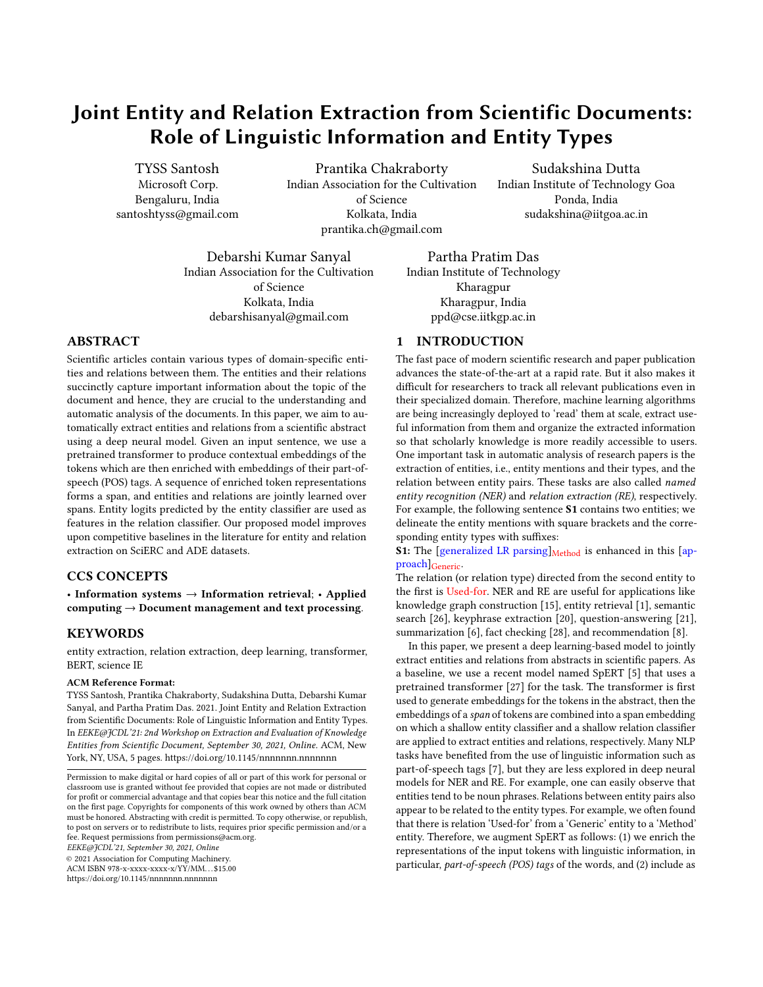# Joint Entity and Relation Extraction from Scientific Documents: Role of Linguistic Information and Entity Types

TYSS Santosh Microsoft Corp. Bengaluru, India santoshtyss@gmail.com

Prantika Chakraborty Indian Association for the Cultivation of Science Kolkata, India prantika.ch@gmail.com

Sudakshina Dutta Indian Institute of Technology Goa Ponda, India sudakshina@iitgoa.ac.in

Debarshi Kumar Sanyal Indian Association for the Cultivation of Science Kolkata, India debarshisanyal@gmail.com

# ABSTRACT

Scientific articles contain various types of domain-specific entities and relations between them. The entities and their relations succinctly capture important information about the topic of the document and hence, they are crucial to the understanding and automatic analysis of the documents. In this paper, we aim to automatically extract entities and relations from a scientific abstract using a deep neural model. Given an input sentence, we use a pretrained transformer to produce contextual embeddings of the tokens which are then enriched with embeddings of their part-ofspeech (POS) tags. A sequence of enriched token representations forms a span, and entities and relations are jointly learned over spans. Entity logits predicted by the entity classifier are used as features in the relation classifier. Our proposed model improves upon competitive baselines in the literature for entity and relation extraction on SciERC and ADE datasets.

# CCS CONCEPTS

• Information systems → Information retrieval; • Applied computing  $\rightarrow$  Document management and text processing.

#### KEYWORDS

entity extraction, relation extraction, deep learning, transformer, BERT, science IE

#### ACM Reference Format:

TYSS Santosh, Prantika Chakraborty, Sudakshina Dutta, Debarshi Kumar Sanyal, and Partha Pratim Das. 2021. Joint Entity and Relation Extraction from Scientific Documents: Role of Linguistic Information and Entity Types. In EEKE@JCDL'21: 2nd Workshop on Extraction and Evaluation of Knowledge Entities from Scientific Document, September 30, 2021, Online. ACM, New York, NY, USA, [5](#page-4-0) pages.<https://doi.org/10.1145/nnnnnnn.nnnnnnn>

EEKE@JCDL'21, September 30, 2021, Online

© 2021 Association for Computing Machinery.

ACM ISBN 978-x-xxxx-xxxx-x/YY/MM. . . \$15.00 <https://doi.org/10.1145/nnnnnnn.nnnnnnn>

Partha Pratim Das Indian Institute of Technology Kharagpur Kharagpur, India ppd@cse.iitkgp.ac.in

### 1 INTRODUCTION

The fast pace of modern scientific research and paper publication advances the state-of-the-art at a rapid rate. But it also makes it difficult for researchers to track all relevant publications even in their specialized domain. Therefore, machine learning algorithms are being increasingly deployed to 'read' them at scale, extract useful information from them and organize the extracted information so that scholarly knowledge is more readily accessible to users. One important task in automatic analysis of research papers is the extraction of entities, i.e., entity mentions and their types, and the relation between entity pairs. These tasks are also called named entity recognition (NER) and relation extraction (RE), respectively. For example, the following sentence S1 contains two entities; we delineate the entity mentions with square brackets and the corresponding entity types with suffixes:

S1: The [generalized LR parsing] $Method$  is enhanced in this [approach]Generic.

The relation (or relation type) directed from the second entity to the first is Used-for. NER and RE are useful for applications like knowledge graph construction [\[15\]](#page-4-1), entity retrieval [\[1\]](#page-4-2), semantic search [\[26\]](#page-4-3), keyphrase extraction [\[20\]](#page-4-4), question-answering [\[21\]](#page-4-5), summarization [\[6\]](#page-4-6), fact checking [\[28\]](#page-4-7), and recommendation [\[8\]](#page-4-8).

In this paper, we present a deep learning-based model to jointly extract entities and relations from abstracts in scientific papers. As a baseline, we use a recent model named SpERT [\[5\]](#page-4-9) that uses a pretrained transformer [\[27\]](#page-4-10) for the task. The transformer is first used to generate embeddings for the tokens in the abstract, then the embeddings of a span of tokens are combined into a span embedding on which a shallow entity classifier and a shallow relation classifier are applied to extract entities and relations, respectively. Many NLP tasks have benefited from the use of linguistic information such as part-of-speech tags [\[7\]](#page-4-11), but they are less explored in deep neural models for NER and RE. For example, one can easily observe that entities tend to be noun phrases. Relations between entity pairs also appear to be related to the entity types. For example, we often found that there is relation 'Used-for' from a 'Generic' entity to a 'Method' entity. Therefore, we augment SpERT as follows: (1) we enrich the representations of the input tokens with linguistic information, in particular, part-of-speech (POS) tags of the words, and (2) include as

Permission to make digital or hard copies of all or part of this work for personal or classroom use is granted without fee provided that copies are not made or distributed for profit or commercial advantage and that copies bear this notice and the full citation on the first page. Copyrights for components of this work owned by others than ACM must be honored. Abstracting with credit is permitted. To copy otherwise, or republish, to post on servers or to redistribute to lists, requires prior specific permission and/or a fee. Request permissions from permissions@acm.org.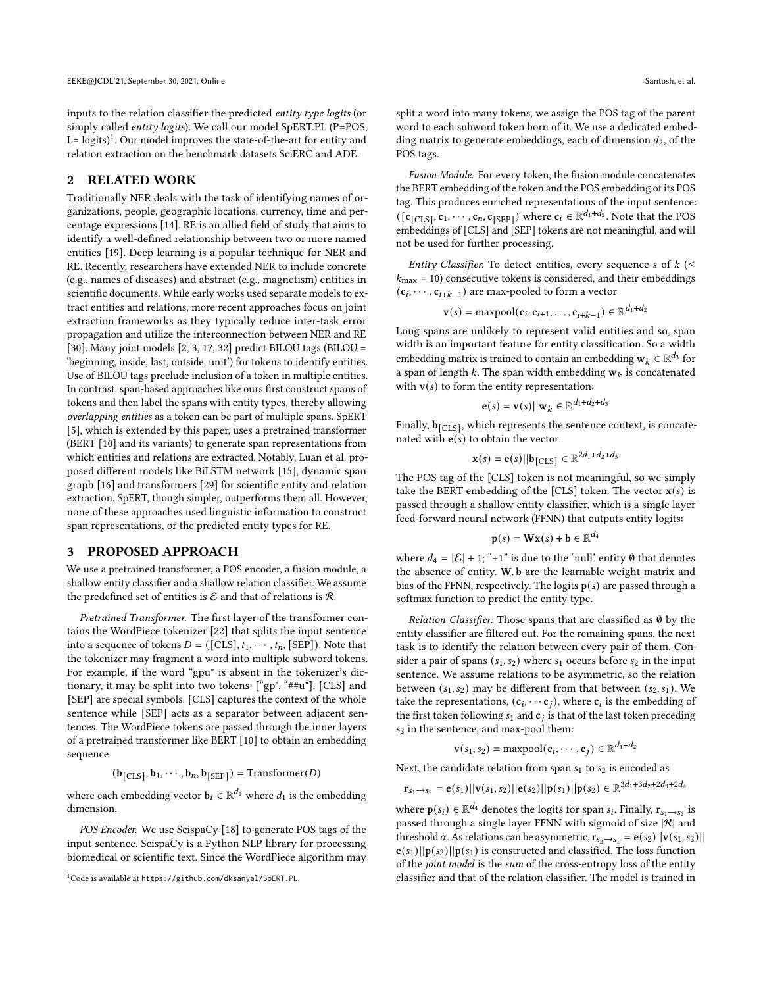inputs to the relation classifier the predicted entity type logits (or simply called entity logits). We call our model SpERT.PL (P=POS, L=  $logits$ <sup>[1](#page-1-0)</sup>. Our model improves the state-of-the-art for entity and relation extraction on the benchmark datasets SciERC and ADE.

#### 2 RELATED WORK

Traditionally NER deals with the task of identifying names of organizations, people, geographic locations, currency, time and percentage expressions [\[14\]](#page-4-12). RE is an allied field of study that aims to identify a well-defined relationship between two or more named entities [\[19\]](#page-4-13). Deep learning is a popular technique for NER and RE. Recently, researchers have extended NER to include concrete (e.g., names of diseases) and abstract (e.g., magnetism) entities in scientific documents. While early works used separate models to extract entities and relations, more recent approaches focus on joint extraction frameworks as they typically reduce inter-task error propagation and utilize the interconnection between NER and RE [\[30\]](#page-4-14). Many joint models [\[2,](#page-4-15) [3,](#page-4-16) [17,](#page-4-17) [32\]](#page-4-18) predict BILOU tags (BILOU = 'beginning, inside, last, outside, unit') for tokens to identify entities. Use of BILOU tags preclude inclusion of a token in multiple entities. In contrast, span-based approaches like ours first construct spans of tokens and then label the spans with entity types, thereby allowing overlapping entities as a token can be part of multiple spans. SpERT [\[5\]](#page-4-9), which is extended by this paper, uses a pretrained transformer (BERT [\[10\]](#page-4-19) and its variants) to generate span representations from which entities and relations are extracted. Notably, Luan et al. proposed different models like BiLSTM network [\[15\]](#page-4-1), dynamic span graph [\[16\]](#page-4-20) and transformers [\[29\]](#page-4-21) for scientific entity and relation extraction. SpERT, though simpler, outperforms them all. However, none of these approaches used linguistic information to construct span representations, or the predicted entity types for RE.

#### 3 PROPOSED APPROACH

We use a pretrained transformer, a POS encoder, a fusion module, a shallow entity classifier and a shallow relation classifier. We assume the predefined set of entities is  $\mathcal E$  and that of relations is  $\mathcal R$ .

Pretrained Transformer. The first layer of the transformer contains the WordPiece tokenizer [\[22\]](#page-4-22) that splits the input sentence into a sequence of tokens  $D = (\text{[CLS]}, t_1, \dots, t_n, \text{[SEP]})$ . Note that the tokenizer may fragment a word into multiple subword tokens. For example, if the word "gpu" is absent in the tokenizer's dictionary, it may be split into two tokens: ["gp", "##u"]. [CLS] and [SEP] are special symbols. [CLS] captures the context of the whole sentence while [SEP] acts as a separator between adjacent sentences. The WordPiece tokens are passed through the inner layers of a pretrained transformer like BERT [\[10\]](#page-4-19) to obtain an embedding sequence

$$
(\mathbf{b}_{\text{[CLS]}}, \mathbf{b}_1, \cdots, \mathbf{b}_n, \mathbf{b}_{\text{[SEP]}}) = \text{Transformer}(D)
$$

where each embedding vector  $\mathbf{b}_i \in \mathbb{R}^{d_1}$  where  $d_1$  is the embedding dimension.

POS Encoder. We use ScispaCy [\[18\]](#page-4-23) to generate POS tags of the input sentence. ScispaCy is a Python NLP library for processing biomedical or scientific text. Since the WordPiece algorithm may split a word into many tokens, we assign the POS tag of the parent word to each subword token born of it. We use a dedicated embedding matrix to generate embeddings, each of dimension  $d_2$ , of the POS tags.

Fusion Module. For every token, the fusion module concatenates the BERT embedding of the token and the POS embedding of its POS tag. This produces enriched representations of the input sentence:  $(\mathbf{c}_{\text{[CLS]}}, \mathbf{c}_1, \cdots, \mathbf{c}_n, \mathbf{c}_{\text{[SEP]}})$  where  $\mathbf{c}_i \in \mathbb{R}^{d_1 + d_2}$ . Note that the POS embeddings of [CLS] and [SEP] tokens are not meaningful, and will not be used for further processing.

Entity Classifier. To detect entities, every sequence s of  $k$  ( $\leq$  $k_{\text{max}}$  = 10) consecutive tokens is considered, and their embeddings  $(c_i, \dots, c_{i+k-1})$  are max-pooled to form a vector

 $\mathbf{v}(s) = \text{maxpool}(\mathbf{c}_i, \mathbf{c}_{i+1}, \dots, \mathbf{c}_{i+k-1}) \in \mathbb{R}^{d_1 + d_2}$ 

Long spans are unlikely to represent valid entities and so, span width is an important feature for entity classification. So a width embedding matrix is trained to contain an embedding  $\mathbf{w}_k \in \mathbb{R}^{d_3}$  for a span of length  $k$ . The span width embedding  $\mathbf{w}_k$  is concatenated with  $v(s)$  to form the entity representation:

$$
\mathbf{e}(s) = \mathbf{v}(s)||\mathbf{w}_k \in \mathbb{R}^{d_1 + d_2 + d_3}
$$

Finally,  $\mathbf{b}_{\texttt{[CLS]}}$ , which represents the sentence context, is concatenated with  $e(s)$  to obtain the vector

$$
\mathbf{x}(s) = \mathbf{e}(s)||\mathbf{b}_{[CLS]} \in \mathbb{R}^{2d_1 + d_2 + d_3}
$$

The POS tag of the [CLS] token is not meaningful, so we simply take the BERT embedding of the [CLS] token. The vector  $x(s)$  is passed through a shallow entity classifier, which is a single layer feed-forward neural network (FFNN) that outputs entity logits:

$$
\mathbf{p}(s) = \mathbf{W}\mathbf{x}(s) + \mathbf{b} \in \mathbb{R}^{d_4}
$$

where  $d_4 = |\mathcal{E}| + 1$ ; "+1" is due to the 'null' entity  $\emptyset$  that denotes the absence of entity. W, b are the learnable weight matrix and bias of the FFNN, respectively. The logits  $p(s)$  are passed through a softmax function to predict the entity type.

Relation Classifier. Those spans that are classified as ∅ by the entity classifier are filtered out. For the remaining spans, the next task is to identify the relation between every pair of them. Consider a pair of spans  $(s_1, s_2)$  where  $s_1$  occurs before  $s_2$  in the input sentence. We assume relations to be asymmetric, so the relation between  $(s_1, s_2)$  may be different from that between  $(s_2, s_1)$ . We take the representations,  $(c_i, \dots, c_j)$ , where  $c_i$  is the embedding of the first token following  $s_1$  and  $c_j$  is that of the last token preceding  $s_2$  in the sentence, and max-pool them:

$$
\mathbf{v}(s_1, s_2) = \text{maxpool}(\mathbf{c}_i, \cdots, \mathbf{c}_j) \in \mathbb{R}^{d_1 + d_2}
$$

Next, the candidate relation from span  $s_1$  to  $s_2$  is encoded as

$$
\mathbf{r}_{s_1 \to s_2} = \mathbf{e}(s_1)||\mathbf{v}(s_1, s_2)||\mathbf{e}(s_2)||\mathbf{p}(s_1)||\mathbf{p}(s_2) \in \mathbb{R}^{3d_1 + 3d_2 + 2d_3 + 2d_4}
$$

where  $\mathbf{p}(s_i) \in \mathbb{R}^{d_4}$  denotes the logits for span  $s_i$ . Finally,  $\mathbf{r}_{s_1 \to s_2}$  is passed through a single layer FFNN with sigmoid of size  $|R|$  and threshold  $\alpha$ . As relations can be asymmetric,  $\mathbf{r}_{s_2 \to s_1} = \mathbf{e}(s_2)||\mathbf{v}(s_1, s_2)||$  $e(s_1)||p(s_2)||p(s_1)$  is constructed and classified. The loss function of the joint model is the sum of the cross-entropy loss of the entity classifier and that of the relation classifier. The model is trained in

<span id="page-1-0"></span><sup>1</sup>Code is available at https://github.com/dksanyal/SpERT.PL.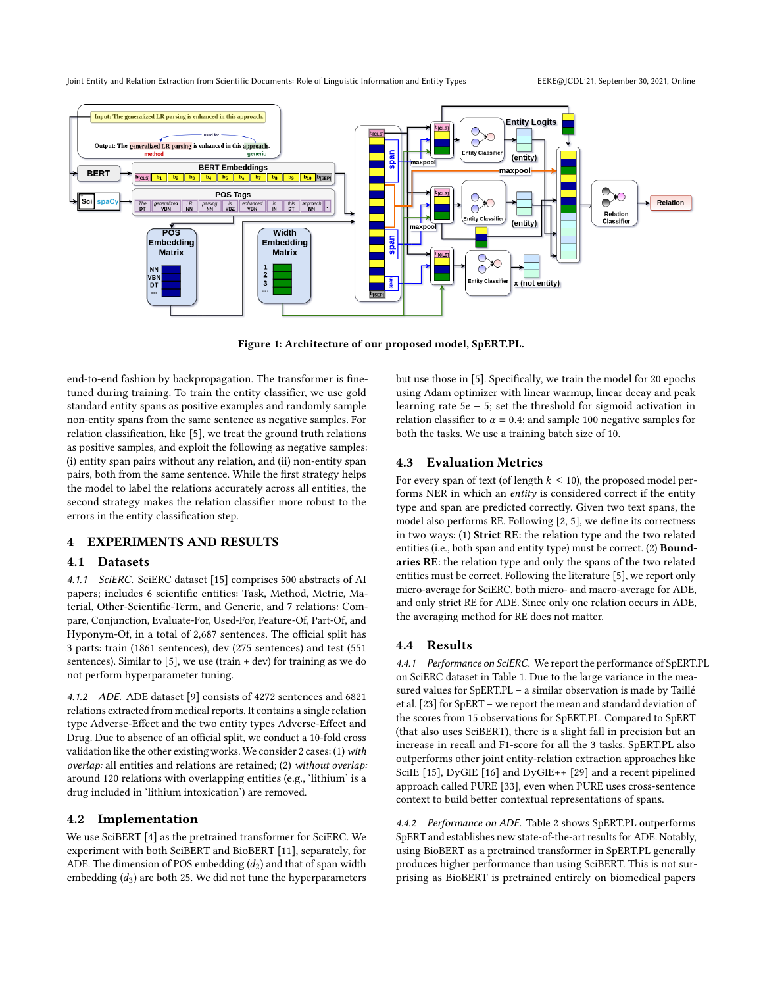Joint Entity and Relation Extraction from Scientific Documents: Role of Linguistic Information and Entity Types EEKE@JCDL'21, September 30, 2021, Online



Figure 1: Architecture of our proposed model, SpERT.PL.

end-to-end fashion by backpropagation. The transformer is finetuned during training. To train the entity classifier, we use gold standard entity spans as positive examples and randomly sample non-entity spans from the same sentence as negative samples. For relation classification, like [\[5\]](#page-4-9), we treat the ground truth relations as positive samples, and exploit the following as negative samples: (i) entity span pairs without any relation, and (ii) non-entity span pairs, both from the same sentence. While the first strategy helps the model to label the relations accurately across all entities, the second strategy makes the relation classifier more robust to the errors in the entity classification step.

# 4 EXPERIMENTS AND RESULTS

#### 4.1 Datasets

4.1.1 SciERC. SciERC dataset [\[15\]](#page-4-1) comprises 500 abstracts of AI papers; includes 6 scientific entities: Task, Method, Metric, Material, Other-Scientific-Term, and Generic, and 7 relations: Compare, Conjunction, Evaluate-For, Used-For, Feature-Of, Part-Of, and Hyponym-Of, in a total of 2,687 sentences. The official split has 3 parts: train (1861 sentences), dev (275 sentences) and test (551 sentences). Similar to [\[5\]](#page-4-9), we use (train  $+$  dev) for training as we do not perform hyperparameter tuning.

4.1.2 ADE. ADE dataset [\[9\]](#page-4-24) consists of 4272 sentences and 6821 relations extracted from medical reports. It contains a single relation type Adverse-Effect and the two entity types Adverse-Effect and Drug. Due to absence of an official split, we conduct a 10-fold cross validation like the other existing works. We consider 2 cases: (1) with overlap: all entities and relations are retained; (2) without overlap: around 120 relations with overlapping entities (e.g., 'lithium' is a drug included in 'lithium intoxication') are removed.

#### 4.2 Implementation

We use SciBERT [\[4\]](#page-4-25) as the pretrained transformer for SciERC. We experiment with both SciBERT and BioBERT [\[11\]](#page-4-26), separately, for ADE. The dimension of POS embedding  $(d_2)$  and that of span width embedding  $(d_3)$  are both 25. We did not tune the hyperparameters but use those in [\[5\]](#page-4-9). Specifically, we train the model for 20 epochs using Adam optimizer with linear warmup, linear decay and peak learning rate  $5e - 5$ ; set the threshold for sigmoid activation in relation classifier to  $\alpha = 0.4$ ; and sample 100 negative samples for both the tasks. We use a training batch size of 10.

### 4.3 Evaluation Metrics

For every span of text (of length  $k \le 10$ ), the proposed model performs NER in which an entity is considered correct if the entity type and span are predicted correctly. Given two text spans, the model also performs RE. Following [\[2,](#page-4-15) [5\]](#page-4-9), we define its correctness in two ways: (1) Strict RE: the relation type and the two related entities (i.e., both span and entity type) must be correct. (2) Boundaries RE: the relation type and only the spans of the two related entities must be correct. Following the literature [\[5\]](#page-4-9), we report only micro-average for SciERC, both micro- and macro-average for ADE, and only strict RE for ADE. Since only one relation occurs in ADE, the averaging method for RE does not matter.

### 4.4 Results

4.4.1 Performance on SciERC. We report the performance of SpERT.PL on SciERC dataset in Table [1.](#page-3-0) Due to the large variance in the measured values for SpERT.PL – a similar observation is made by Taillé et al. [\[23\]](#page-4-27) for SpERT – we report the mean and standard deviation of the scores from 15 observations for SpERT.PL. Compared to SpERT (that also uses SciBERT), there is a slight fall in precision but an increase in recall and F1-score for all the 3 tasks. SpERT.PL also outperforms other joint entity-relation extraction approaches like SciIE [\[15\]](#page-4-1), DyGIE [\[16\]](#page-4-20) and DyGIE++ [\[29\]](#page-4-21) and a recent pipelined approach called PURE [\[33\]](#page-4-28), even when PURE uses cross-sentence context to build better contextual representations of spans.

4.4.2 Performance on ADE. Table [2](#page-3-1) shows SpERT.PL outperforms SpERT and establishes new state-of-the-art results for ADE. Notably, using BioBERT as a pretrained transformer in SpERT.PL generally produces higher performance than using SciBERT. This is not surprising as BioBERT is pretrained entirely on biomedical papers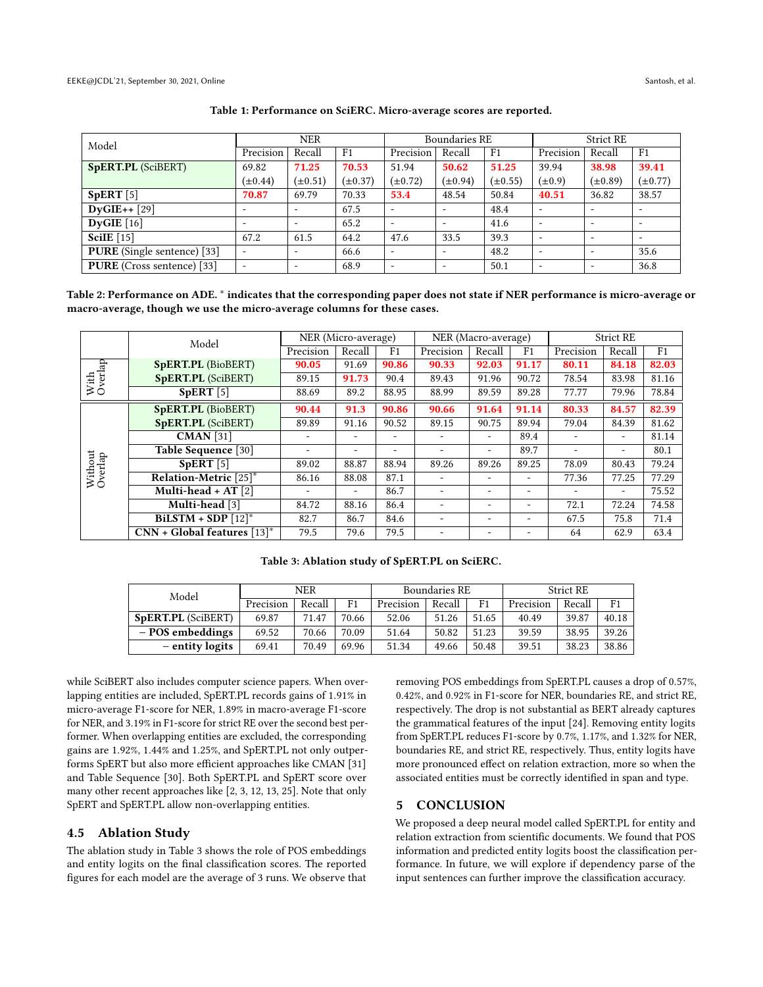<span id="page-3-0"></span>

| Model                              | <b>NER</b>               |                          |                | <b>Boundaries RE</b>     |                          |                | <b>Strict RE</b>         |                          |                          |
|------------------------------------|--------------------------|--------------------------|----------------|--------------------------|--------------------------|----------------|--------------------------|--------------------------|--------------------------|
|                                    | Precision                | Recall                   | F <sub>1</sub> | Precision                | Recall                   | F <sub>1</sub> | Precision                | Recall                   | F <sub>1</sub>           |
| <b>SpERT.PL (SciBERT)</b>          | 69.82                    | 71.25                    | 70.53          | 51.94                    | 50.62                    | 51.25          | 39.94                    | 38.98                    | 39.41                    |
|                                    | $(\pm 0.44)$             | $(\pm 0.51)$             | $(\pm 0.37)$   | $(\pm 0.72)$             | $(\pm 0.94)$             | $(\pm 0.55)$   | $(\pm 0.9)$              | $(\pm 0.89)$             | $(\pm 0.77)$             |
| SpERT $[5]$                        | 70.87                    | 69.79                    | 70.33          | 53.4                     | 48.54                    | 50.84          | 40.51                    | 36.82                    | 38.57                    |
| $DyGIE++[29]$                      | $\overline{\phantom{0}}$ | -                        | 67.5           | $\overline{\phantom{0}}$ | $\overline{\phantom{0}}$ | 48.4           | $\overline{\phantom{a}}$ | $\overline{\phantom{a}}$ | $\overline{\phantom{a}}$ |
| $DyGIE$ [16]                       | $\overline{\phantom{a}}$ |                          | 65.2           | $\overline{\phantom{a}}$ | $\overline{\phantom{0}}$ | 41.6           | $\overline{\phantom{a}}$ | $\overline{\phantom{a}}$ | $\overline{\phantom{a}}$ |
| SciIE $[15]$                       | 67.2                     | 61.5                     | 64.2           | 47.6                     | 33.5                     | 39.3           | $\overline{\phantom{a}}$ | $\overline{\phantom{a}}$ | $\overline{\phantom{a}}$ |
| <b>PURE</b> (Single sentence) [33] | $\overline{\phantom{a}}$ | $\overline{\phantom{a}}$ | 66.6           | $\overline{\phantom{0}}$ |                          | 48.2           | $\overline{\phantom{a}}$ | $\overline{\phantom{a}}$ | 35.6                     |
| <b>PURE</b> (Cross sentence) [33]  | $\overline{\phantom{a}}$ | $\overline{\phantom{a}}$ | 68.9           | $\overline{\phantom{a}}$ | $\overline{\phantom{0}}$ | 50.1           | $\overline{\phantom{a}}$ | $\overline{\phantom{a}}$ | 36.8                     |

#### Table 1: Performance on SciERC. Micro-average scores are reported.

<span id="page-3-1"></span>Table 2: Performance on ADE. <sup>∗</sup> indicates that the corresponding paper does not state if NER performance is micro-average or macro-average, though we use the micro-average columns for these cases.

|                    | Model                         | NER (Micro-average)      |                          |                          | NER (Macro-average) |                          |                          | <b>Strict RE</b>         |                          |       |
|--------------------|-------------------------------|--------------------------|--------------------------|--------------------------|---------------------|--------------------------|--------------------------|--------------------------|--------------------------|-------|
|                    |                               | Precision                | Recall                   | F <sub>1</sub>           | Precision           | Recall                   | F <sub>1</sub>           | Precision                | Recall                   | F1    |
| With<br>Overlap    | <b>SpERT.PL (BioBERT)</b>     | 90.05                    | 91.69                    | 90.86                    | 90.33               | 92.03                    | 91.17                    | 80.11                    | 84.18                    | 82.03 |
|                    | <b>SpERT.PL (SciBERT)</b>     | 89.15                    | 91.73                    | 90.4                     | 89.43               | 91.96                    | 90.72                    | 78.54                    | 83.98                    | 81.16 |
|                    | SpERT $[5]$                   | 88.69                    | 89.2                     | 88.95                    | 88.99               | 89.59                    | 89.28                    | 77.77                    | 79.96                    | 78.84 |
| Without<br>Overlap | <b>SpERT.PL (BioBERT)</b>     | 90.44                    | 91.3                     | 90.86                    | 90.66               | 91.64                    | 91.14                    | 80.33                    | 84.57                    | 82.39 |
|                    | <b>SpERT.PL (SciBERT)</b>     | 89.89                    | 91.16                    | 90.52                    | 89.15               | 90.75                    | 89.94                    | 79.04                    | 84.39                    | 81.62 |
|                    | <b>CMAN</b> [31]              | $\overline{\phantom{0}}$ |                          |                          |                     |                          | 89.4                     |                          | $\overline{\phantom{a}}$ | 81.14 |
|                    | Table Sequence [30]           | $\overline{\phantom{a}}$ | $\overline{\phantom{0}}$ | $\overline{\phantom{a}}$ | -                   | $\overline{\phantom{0}}$ | 89.7                     | $\overline{\phantom{a}}$ | $\overline{\phantom{a}}$ | 80.1  |
|                    | SpERT[5]                      | 89.02                    | 88.87                    | 88.94                    | 89.26               | 89.26                    | 89.25                    | 78.09                    | 80.43                    | 79.24 |
|                    | <b>Relation-Metric</b> [25]*  | 86.16                    | 88.08                    | 87.1                     |                     |                          |                          | 77.36                    | 77.25                    | 77.29 |
|                    | Multi-head + $AT$ [2]         | $\overline{\phantom{0}}$ |                          | 86.7                     | ۰                   |                          | $\overline{\phantom{0}}$ |                          | ۰                        | 75.52 |
|                    | Multi-head [3]                | 84.72                    | 88.16                    | 86.4                     | ۰                   |                          | ۰                        | 72.1                     | 72.24                    | 74.58 |
|                    | $BiLSTM + SDP [12]$ *         | 82.7                     | 86.7                     | 84.6                     | -                   |                          | $\overline{\phantom{0}}$ | 67.5                     | 75.8                     | 71.4  |
|                    | $CNN + Global features [13]*$ | 79.5                     | 79.6                     | 79.5                     |                     |                          |                          | 64                       | 62.9                     | 63.4  |

Table 3: Ablation study of SpERT.PL on SciERC.

<span id="page-3-2"></span>

| Model                     | <b>NER</b> |        |                |           | <b>Boundaries RE</b> |                | <b>Strict RE</b> |        |                |
|---------------------------|------------|--------|----------------|-----------|----------------------|----------------|------------------|--------|----------------|
|                           | Precision  | Recall | F <sub>1</sub> | Precision | Recall               | F <sub>1</sub> | Precision        | Recall | F <sub>1</sub> |
| <b>SpERT.PL (SciBERT)</b> | 69.87      | 71.47  | 70.66          | 52.06     | 51.26                | 51.65          | 40.49            | 39.87  | 40.18          |
| - POS embeddings          | 69.52      | 70.66  | 70.09          | 51.64     | 50.82                | 51.23          | 39.59            | 38.95  | 39.26          |
| – entity logits           | 69.41      | 70.49  | 69.96          | 51.34     | 49.66                | 50.48          | 39.51            | 38.23  | 38.86          |

while SciBERT also includes computer science papers. When overlapping entities are included, SpERT.PL records gains of 1.91% in micro-average F1-score for NER, 1.89% in macro-average F1-score for NER, and 3.19% in F1-score for strict RE over the second best performer. When overlapping entities are excluded, the corresponding gains are 1.92%, 1.44% and 1.25%, and SpERT.PL not only outperforms SpERT but also more efficient approaches like CMAN [\[31\]](#page-4-29) and Table Sequence [\[30\]](#page-4-14). Both SpERT.PL and SpERT score over many other recent approaches like [\[2,](#page-4-15) [3,](#page-4-16) [12,](#page-4-31) [13,](#page-4-32) [25\]](#page-4-30). Note that only SpERT and SpERT.PL allow non-overlapping entities.

### 4.5 Ablation Study

The ablation study in Table [3](#page-3-2) shows the role of POS embeddings and entity logits on the final classification scores. The reported figures for each model are the average of 3 runs. We observe that removing POS embeddings from SpERT.PL causes a drop of 0.57%, 0.42%, and 0.92% in F1-score for NER, boundaries RE, and strict RE, respectively. The drop is not substantial as BERT already captures the grammatical features of the input [\[24\]](#page-4-33). Removing entity logits from SpERT.PL reduces F1-score by 0.7%, 1.17%, and 1.32% for NER, boundaries RE, and strict RE, respectively. Thus, entity logits have more pronounced effect on relation extraction, more so when the associated entities must be correctly identified in span and type.

#### 5 CONCLUSION

We proposed a deep neural model called SpERT.PL for entity and relation extraction from scientific documents. We found that POS information and predicted entity logits boost the classification performance. In future, we will explore if dependency parse of the input sentences can further improve the classification accuracy.